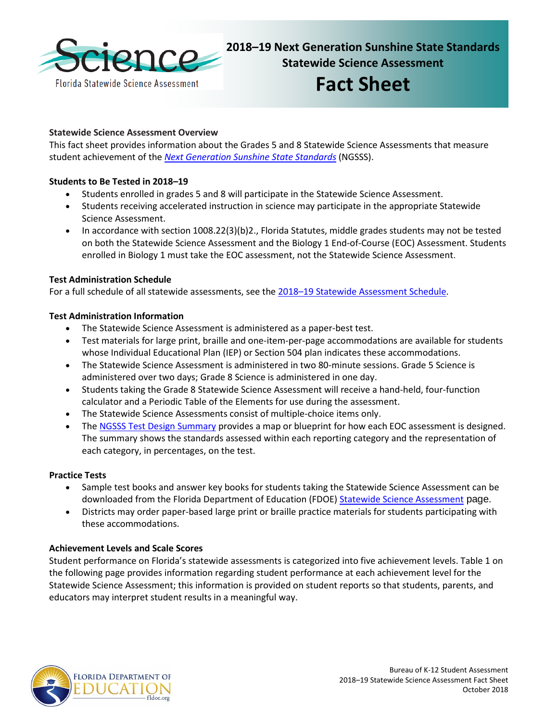

**2018–19 Next Generation Sunshine State Standards Statewide Science Assessment**

# **Fact Sheet**

# **Statewide Science Assessment Overview**

This fact sheet provides information about the Grades 5 and 8 Statewide Science Assessments that measure student achievement of the *[Next Generation Sunshine State Standards](http://www.cpalms.org/Public/)* (NGSSS).

# **Students to Be Tested in 2018–19**

- Students enrolled in grades 5 and 8 will participate in the Statewide Science Assessment.
- Students receiving accelerated instruction in science may participate in the appropriate Statewide Science Assessment.
- In accordance with section 1008.22(3)(b)2., Florida Statutes, middle grades students may not be tested on both the Statewide Science Assessment and the Biology 1 End-of-Course (EOC) Assessment. Students enrolled in Biology 1 must take the EOC assessment, not the Statewide Science Assessment.

### **Test Administration Schedule**

For a full schedule of all statewide assessments, see the [2018–19 Statewide Assessment Schedule.](https://info.fldoe.org/docushare/dsweb/Get/Document-7973/dps-2017-84b.pdf)

### **Test Administration Information**

- The Statewide Science Assessment is administered as a paper-best test.
- Test materials for large print, braille and one-item-per-page accommodations are available for students whose Individual Educational Plan (IEP) or Section 504 plan indicates these accommodations.
- The Statewide Science Assessment is administered in two 80-minute sessions. Grade 5 Science is administered over two days; Grade 8 Science is administered in one day.
- Students taking the Grade 8 Statewide Science Assessment will receive a hand-held, four-function calculator and a Periodic Table of the Elements for use during the assessment.
- The Statewide Science Assessments consist of multiple-choice items only.
- The [NGSSS Test Design Summary](http://www.fldoe.org/core/fileparse.php/5662/urlt/NGSSS_TestDesignSummary_Final.pdf) provides a map or blueprint for how each EOC assessment is designed. The summary shows the standards assessed within each reporting category and the representation of each category, in percentages, on the test.

# **Practice Tests**

- Sample test books and answer key books for students taking the Statewide Science Assessment can be downloaded from the Florida Department of Education (FDOE[\) Statewide Science Assessment](http://www.fldoe.org/accountability/assessments/k-12-student-assessment/science.stml) page.
- Districts may order paper-based large print or braille practice materials for students participating with these accommodations.

# **Achievement Levels and Scale Scores**

Student performance on Florida's statewide assessments is categorized into five achievement levels. Table 1 on the following page provides information regarding student performance at each achievement level for the Statewide Science Assessment; this information is provided on student reports so that students, parents, and educators may interpret student results in a meaningful way.